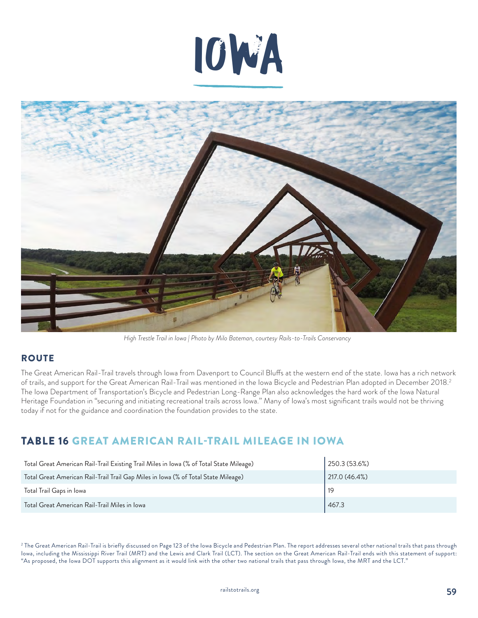



*High Trestle Trail in Iowa | Photo by Milo Bateman, courtesy Rails-to-Trails Conservancy*

## **ROUTE**

The Great American Rail-Trail travels through Iowa from Davenport to Council Bluffs at the western end of the state. Iowa has a rich network of trails, and support for the Great American Rail-Trail was mentioned in the Iowa Bicycle and Pedestrian Plan adopted in December 2018.2 The Iowa Department of Transportation's Bicycle and Pedestrian Long-Range Plan also acknowledges the hard work of the Iowa Natural Heritage Foundation in "securing and initiating recreational trails across Iowa." Many of Iowa's most significant trails would not be thriving today if not for the guidance and coordination the foundation provides to the state.

# TABLE 16 GREAT AMERICAN RAIL-TRAIL MILEAGE IN IOWA

| Total Great American Rail-Trail Existing Trail Miles in Iowa (% of Total State Mileage) | 250.3 (53.6%) |
|-----------------------------------------------------------------------------------------|---------------|
| Total Great American Rail-Trail Trail Gap Miles in Iowa (% of Total State Mileage)      | 217.0(46.4%)  |
| Total Trail Gaps in Iowa                                                                |               |
| Total Great American Rail-Trail Miles in Iowa                                           | 467.3         |

<sup>2</sup> The Great American Rail-Trail is briefly discussed on Page 123 of the Iowa Bicycle and Pedestrian Plan. The report addresses several other national trails that pass through Iowa, including the Mississippi River Trail (MRT) and the Lewis and Clark Trail (LCT). The section on the Great American Rail-Trail ends with this statement of support: "As proposed, the Iowa DOT supports this alignment as it would link with the other two national trails that pass through Iowa, the MRT and the LCT."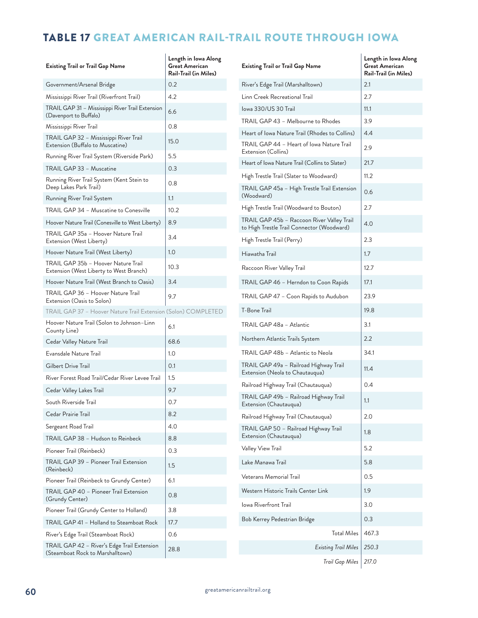# TABLE 17 GREAT AMERICAN RAIL-TRAIL ROUTE THROUGH IOWA

| <b>Existing Trail or Trail Gap Name</b>                                         | Length in Iowa Along<br><b>Great American</b><br>Rail-Trail (in Miles) | <b>Existing Trail or Trail Gap Name</b>                                                  | Length in Iowa Along<br><b>Great American</b><br>Rail-Trail (in Miles) |
|---------------------------------------------------------------------------------|------------------------------------------------------------------------|------------------------------------------------------------------------------------------|------------------------------------------------------------------------|
| Government/Arsenal Bridge                                                       | 0.2                                                                    | River's Edge Trail (Marshalltown)                                                        | 2.1                                                                    |
| Mississippi River Trail (Riverfront Trail)                                      | 4.2                                                                    | Linn Creek Recreational Trail                                                            | 2.7                                                                    |
| TRAIL GAP 31 - Mississippi River Trail Extension<br>(Davenport to Buffalo)      | 6.6                                                                    | Iowa 330/US 30 Trail                                                                     | 11.1                                                                   |
| Mississippi River Trail                                                         | 0.8                                                                    | TRAIL GAP 43 - Melbourne to Rhodes                                                       | 3.9                                                                    |
| TRAIL GAP 32 - Mississippi River Trail                                          |                                                                        | Heart of Iowa Nature Trail (Rhodes to Collins)                                           | 4.4                                                                    |
| Extension (Buffalo to Muscatine)                                                | 15.0                                                                   | TRAIL GAP 44 - Heart of Iowa Nature Trail<br>Extension (Collins)                         | 2.9                                                                    |
| Running River Trail System (Riverside Park)                                     | 5.5                                                                    | Heart of Iowa Nature Trail (Collins to Slater)                                           | 21.7                                                                   |
| TRAIL GAP 33 - Muscatine                                                        | 0.3                                                                    | High Trestle Trail (Slater to Woodward)                                                  | 11.2                                                                   |
| Running River Trail System (Kent Stein to<br>Deep Lakes Park Trail)             | 0.8                                                                    | TRAIL GAP 45a - High Trestle Trail Extension                                             | 0.6                                                                    |
| Running River Trail System                                                      | 1.1                                                                    | (Woodward)                                                                               |                                                                        |
| TRAIL GAP 34 - Muscatine to Conesville                                          | 10.2                                                                   | High Trestle Trail (Woodward to Bouton)                                                  | 2.7                                                                    |
| Hoover Nature Trail (Conesville to West Liberty)                                | 8.9                                                                    | TRAIL GAP 45b - Raccoon River Valley Trail<br>to High Trestle Trail Connector (Woodward) | 4.0                                                                    |
| TRAIL GAP 35a - Hoover Nature Trail<br>Extension (West Liberty)                 | 3.4                                                                    | High Trestle Trail (Perry)                                                               | 2.3                                                                    |
| Hoover Nature Trail (West Liberty)                                              | 1.0                                                                    | Hiawatha Trail                                                                           | 1.7                                                                    |
| TRAIL GAP 35b - Hoover Nature Trail<br>Extension (West Liberty to West Branch)  | 10.3                                                                   | Raccoon River Valley Trail                                                               | 12.7                                                                   |
| Hoover Nature Trail (West Branch to Oasis)                                      | 3.4                                                                    | TRAIL GAP 46 - Herndon to Coon Rapids                                                    | 17.1                                                                   |
| TRAIL GAP 36 - Hoover Nature Trail<br>Extension (Oasis to Solon)                | 9.7                                                                    | TRAIL GAP 47 - Coon Rapids to Audubon                                                    | 23.9                                                                   |
| TRAIL GAP 37 - Hoover Nature Trail Extension (Solon) COMPLETED                  |                                                                        | T-Bone Trail                                                                             | 19.8                                                                   |
| Hoover Nature Trail (Solon to Johnson-Linn<br>County Line)                      | 6.1                                                                    | TRAIL GAP 48a - Atlantic                                                                 | 3.1                                                                    |
| Cedar Valley Nature Trail                                                       | 68.6                                                                   | Northern Atlantic Trails System                                                          | 2.2                                                                    |
| Evansdale Nature Trail                                                          | 1.0                                                                    | TRAIL GAP 48b - Atlantic to Neola                                                        | 34.1                                                                   |
| Gilbert Drive Trail                                                             | 0.1                                                                    | TRAIL GAP 49a - Railroad Highway Trail                                                   | 11.4                                                                   |
| River Forest Road Trail/Cedar River Levee Trail                                 | 1.5                                                                    | Extension (Neola to Chautauqua)<br>Railroad Highway Trail (Chautauqua)                   | 0.4                                                                    |
| Cedar Valley Lakes Trail                                                        | 9.7                                                                    | TRAIL GAP 49b - Railroad Highway Trail                                                   |                                                                        |
| South Riverside Trail                                                           | 0.7                                                                    | Extension (Chautauqua)                                                                   | 1.1                                                                    |
| Cedar Prairie Trail                                                             | 8.2                                                                    | Railroad Highway Trail (Chautauqua)                                                      | 2.0                                                                    |
| Sergeant Road Trail                                                             | 4.0                                                                    | TRAIL GAP 50 - Railroad Highway Trail                                                    | 1.8                                                                    |
| TRAIL GAP 38 - Hudson to Reinbeck                                               | 8.8                                                                    | Extension (Chautauqua)                                                                   |                                                                        |
| Pioneer Trail (Reinbeck)                                                        | 0.3                                                                    | Valley View Trail                                                                        | 5.2                                                                    |
| TRAIL GAP 39 - Pioneer Trail Extension<br>(Reinbeck)                            | 1.5                                                                    | Lake Manawa Trail                                                                        | 5.8                                                                    |
| Pioneer Trail (Reinbeck to Grundy Center)                                       | 6.1                                                                    | Veterans Memorial Trail                                                                  | 0.5                                                                    |
| TRAIL GAP 40 - Pioneer Trail Extension<br>(Grundy Center)                       | 0.8                                                                    | Western Historic Trails Center Link                                                      | 1.9                                                                    |
| Pioneer Trail (Grundy Center to Holland)                                        | 3.8                                                                    | Iowa Riverfront Trail                                                                    | 3.0                                                                    |
| TRAIL GAP 41 - Holland to Steamboat Rock                                        | 17.7                                                                   | Bob Kerrey Pedestrian Bridge                                                             | 0.3                                                                    |
| River's Edge Trail (Steamboat Rock)                                             | 0.6                                                                    | <b>Total Miles</b>                                                                       | 467.3                                                                  |
| TRAIL GAP 42 - River's Edge Trail Extension<br>(Steamboat Rock to Marshalltown) | 28.8                                                                   | <b>Existing Trail Miles</b>                                                              | 250.3                                                                  |
|                                                                                 |                                                                        | Trail Gap Miles                                                                          | 217.0                                                                  |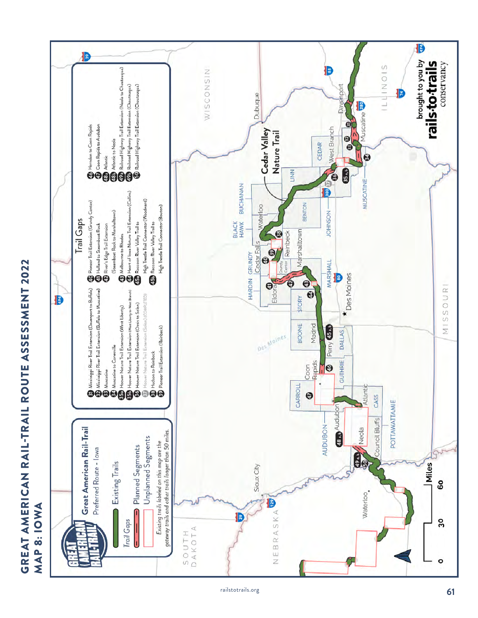# GREAT AMERICAN RAIL-TRAIL ROUTE ASSESSMENT 2022 GREAT AMERICAN RAIL-TRAIL ROUTE ASSESSMENT 2022 MAP 8: IOWA MAP 8: IOWA

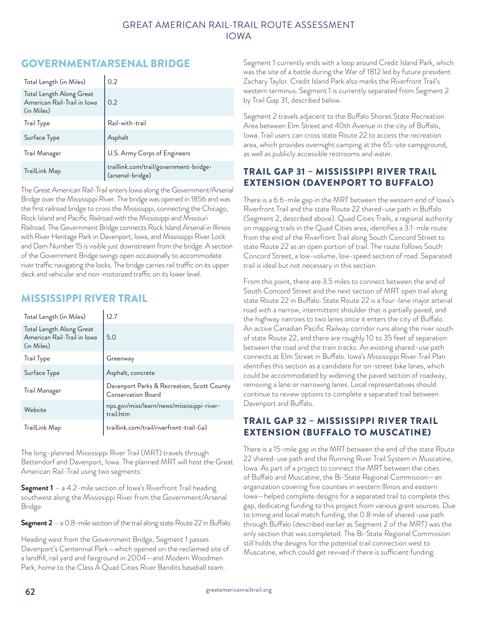# GOVERNMENT/ARSENAL BRIDGE

| Total Length (in Miles)                                               | 0.2                                                        |
|-----------------------------------------------------------------------|------------------------------------------------------------|
| Total Length Along Great<br>American Rail-Trail in Iowa<br>(in Miles) | 0.2                                                        |
| Trail Type                                                            | Rail-with-trail                                            |
| Surface Type                                                          | Asphalt                                                    |
| Trail Manager                                                         | U.S. Army Corps of Engineers                               |
| TrailLink Map                                                         | traillink.com/trail/government-bridge-<br>(arsenal-bridge) |

The Great American Rail-Trail enters Iowa along the Government/Arsenal Bridge over the Mississippi River. The bridge was opened in 1856 and was the first railroad bridge to cross the Mississippi, connecting the Chicago, Rock Island and Pacific Railroad with the Mississippi and Missouri Railroad. The Government Bridge connects Rock Island Arsenal in Illinois with River Heritage Park in Davenport, Iowa, and Mississippi River Lock and Dam Number 15 is visible just downstream from the bridge. A section of the Government Bridge swings open occasionally to accommodate river traffic navigating the locks. The bridge carries rail traffic on its upper deck and vehicular and non-motorized traffic on its lower level.

## MISSISSIPPI RIVER TRAIL

| Total Length (in Miles)                                               | 12.7                                                             |
|-----------------------------------------------------------------------|------------------------------------------------------------------|
| Total Length Along Great<br>American Rail-Trail in Iowa<br>(in Miles) | 5.0                                                              |
| Irail lype                                                            | Greenway                                                         |
| Surface Type                                                          | Asphalt, concrete                                                |
| Trail Manager                                                         | Davenport Parks & Recreation, Scott County<br>Conservation Board |
| Website                                                               | nps.gov/miss/learn/news/mississippi-river-<br>trail.htm          |
| TrailLink Map                                                         | traillink.com/trail/riverfront-trail-(ia)                        |

The long-planned Mississippi River Trail (MRT) travels through Bettendorf and Davenport, Iowa. The planned MRT will host the Great American Rail-Trail using two segments:

**Segment 1** – a 4.2-mile section of lowa's Riverfront Trail heading southwest along the Mississippi River from the Government/Arsenal Bridge.

**Segment 2** – a 0.8-mile section of the trail along state Route 22 in Buffalo.

Heading west from the Government Bridge, Segment 1 passes Davenport's Centennial Park—which opened on the reclaimed site of a landfill, rail yard and fairground in 2004—and Modern Woodmen Park, home to the Class A Quad Cities River Bandits baseball team.

Segment 1 currently ends with a loop around Credit Island Park, which was the site of a battle during the War of 1812 led by future president Zachary Taylor. Credit Island Park also marks the Riverfront Trail's western terminus. Segment 1 is currently separated from Segment 2 by Trail Gap 31, described below.

Segment 2 travels adjacent to the Buffalo Shores State Recreation Area between Elm Street and 40th Avenue in the city of Buffalo, Iowa. Trail users can cross state Route 22 to access the recreation area, which provides overnight camping at the 65-site campground, as well as publicly accessible restrooms and water.

## TRAIL GAP 31 – MISSISSIPPI RIVER TRAIL EXTENSION (DAVENPORT TO BUFFALO)

There is a 6.6-mile gap in the MRT between the western end of Iowa's Riverfront Trail and the state Route 22 shared-use path in Buffalo (Segment 2, described above). Quad Cities Trails, a regional authority on mapping trails in the Quad Cities area, identifies a 3.1-mile route from the end of the Riverfront Trail along South Concord Street to state Route 22 as an open portion of trail. The route follows South Concord Street, a low-volume, low-speed section of road. Separated trail is ideal but not necessary in this section.

From this point, there are 3.5 miles to connect between the end of South Concord Street and the next section of MRT open trail along state Route 22 in Buffalo. State Route 22 is a four-lane major arterial road with a narrow, intermittent shoulder that is partially paved, and the highway narrows to two lanes once it enters the city of Buffalo. An active Canadian Pacific Railway corridor runs along the river south of state Route 22, and there are roughly 10 to 35 feet of separation between the road and the train tracks. An existing shared-use path connects at Elm Street in Buffalo. Iowa's Mississippi River Trail Plan identifies this section as a candidate for on-street bike lanes, which could be accommodated by widening the paved section of roadway, removing a lane or narrowing lanes. Local representatives should continue to review options to complete a separated trail between Davenport and Buffalo.

## TRAIL GAP 32 – MISSISSIPPI RIVER TRAIL EXTENSION (BUFFALO TO MUSCATINE)

There is a 15-mile gap in the MRT between the end of the state Route 22 shared-use path and the Running River Trail System in Muscatine, Iowa. As part of a project to connect the MRT between the cities of Buffalo and Muscatine, the Bi-State Regional Commission—an organization covering five counties in western Illinois and eastern Iowa—helped complete designs for a separated trail to complete this gap, dedicating funding to this project from various grant sources. Due to timing and local match funding, the 0.8 mile of shared-use path through Buffalo (described earlier as Segment 2 of the MRT) was the only section that was completed. The Bi-State Regional Commission still holds the designs for the potential trail connection west to Muscatine, which could get revived if there is sufficient funding.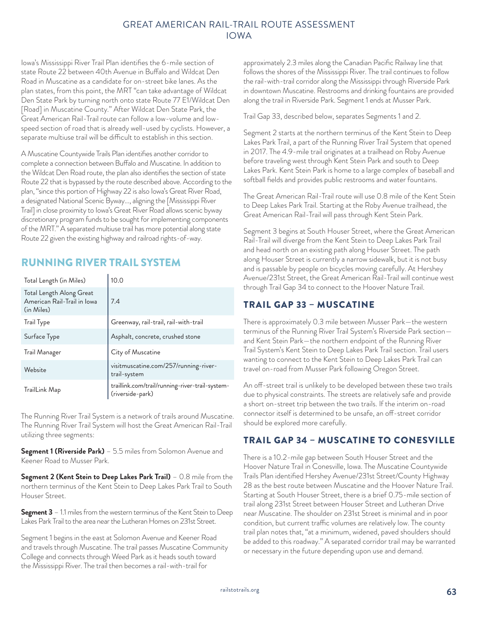Iowa's Mississippi River Trail Plan identifies the 6-mile section of state Route 22 between 40th Avenue in Buffalo and Wildcat Den Road in Muscatine as a candidate for on-street bike lanes. As the plan states, from this point, the MRT "can take advantage of Wildcat Den State Park by turning north onto state Route 77 E1/Wildcat Den [Road] in Muscatine County." After Wildcat Den State Park, the Great American Rail-Trail route can follow a low-volume and lowspeed section of road that is already well-used by cyclists. However, a separate multiuse trail will be difficult to establish in this section.

A Muscatine Countywide Trails Plan identifies another corridor to complete a connection between Buffalo and Muscatine. In addition to the Wildcat Den Road route, the plan also identifies the section of state Route 22 that is bypassed by the route described above. According to the plan, "since this portion of Highway 22 is also Iowa's Great River Road, a designated National Scenic Byway…, aligning the [Mississippi River Trail] in close proximity to Iowa's Great River Road allows scenic byway discretionary program funds to be sought for implementing components of the MRT." A separated multiuse trail has more potential along state Route 22 given the existing highway and railroad rights-of-way.

# RUNNING RIVER TRAIL SYSTEM

| Total Length (in Miles)                                               | 10.0                                                                |
|-----------------------------------------------------------------------|---------------------------------------------------------------------|
| Total Length Along Great<br>American Rail-Trail in Iowa<br>(in Miles) | 7.4                                                                 |
| <b>Trail Type</b>                                                     | Greenway, rail-trail, rail-with-trail                               |
| Surface Type                                                          | Asphalt, concrete, crushed stone                                    |
| Trail Manager                                                         | City of Muscatine                                                   |
| Website                                                               | visitmuscatine.com/257/running-river-<br>trail-system               |
| TrailLink Map                                                         | traillink.com/trail/running-river-trail-system-<br>(riverside-park) |

The Running River Trail System is a network of trails around Muscatine. The Running River Trail System will host the Great American Rail-Trail utilizing three segments:

**Segment 1 (Riverside Park)** – 5.5 miles from Solomon Avenue and Keener Road to Musser Park.

**Segment 2 (Kent Stein to Deep Lakes Park Trail)** – 0.8 mile from the northern terminus of the Kent Stein to Deep Lakes Park Trail to South Houser Street.

**Segment 3** – 1.1 miles from the western terminus of the Kent Stein to Deep Lakes Park Trail to the area near the Lutheran Homes on 231st Street.

Segment 1 begins in the east at Solomon Avenue and Keener Road and travels through Muscatine. The trail passes Muscatine Community College and connects through Weed Park as it heads south toward the Mississippi River. The trail then becomes a rail-with-trail for

approximately 2.3 miles along the Canadian Pacific Railway line that follows the shores of the Mississippi River. The trail continues to follow the rail-with-trail corridor along the Mississippi through Riverside Park in downtown Muscatine. Restrooms and drinking fountains are provided along the trail in Riverside Park. Segment 1 ends at Musser Park.

Trail Gap 33, described below, separates Segments 1 and 2.

Segment 2 starts at the northern terminus of the Kent Stein to Deep Lakes Park Trail, a part of the Running River Trail System that opened in 2017. The 4.9-mile trail originates at a trailhead on Roby Avenue before traveling west through Kent Stein Park and south to Deep Lakes Park. Kent Stein Park is home to a large complex of baseball and softball fields and provides public restrooms and water fountains.

The Great American Rail-Trail route will use 0.8 mile of the Kent Stein to Deep Lakes Park Trail. Starting at the Roby Avenue trailhead, the Great American Rail-Trail will pass through Kent Stein Park.

Segment 3 begins at South Houser Street, where the Great American Rail-Trail will diverge from the Kent Stein to Deep Lakes Park Trail and head north on an existing path along Houser Street. The path along Houser Street is currently a narrow sidewalk, but it is not busy and is passable by people on bicycles moving carefully. At Hershey Avenue/231st Street, the Great American Rail-Trail will continue west through Trail Gap 34 to connect to the Hoover Nature Trail.

## TRAIL GAP 33 – MUSCATINE

There is approximately 0.3 mile between Musser Park—the western terminus of the Running River Trail System's Riverside Park section and Kent Stein Park—the northern endpoint of the Running River Trail System's Kent Stein to Deep Lakes Park Trail section. Trail users wanting to connect to the Kent Stein to Deep Lakes Park Trail can travel on-road from Musser Park following Oregon Street.

An off-street trail is unlikely to be developed between these two trails due to physical constraints. The streets are relatively safe and provide a short on-street trip between the two trails. If the interim on-road connector itself is determined to be unsafe, an off-street corridor should be explored more carefully.

## TRAIL GAP 34 – MUSCATINE TO CONESVILLE

There is a 10.2-mile gap between South Houser Street and the Hoover Nature Trail in Conesville, Iowa. The Muscatine Countywide Trails Plan identified Hershey Avenue/231st Street/County Highway 28 as the best route between Muscatine and the Hoover Nature Trail. Starting at South Houser Street, there is a brief 0.75-mile section of trail along 231st Street between Houser Street and Lutheran Drive near Muscatine. The shoulder on 231st Street is minimal and in poor condition, but current traffic volumes are relatively low. The county trail plan notes that, "at a minimum, widened, paved shoulders should be added to this roadway." A separated corridor trail may be warranted or necessary in the future depending upon use and demand.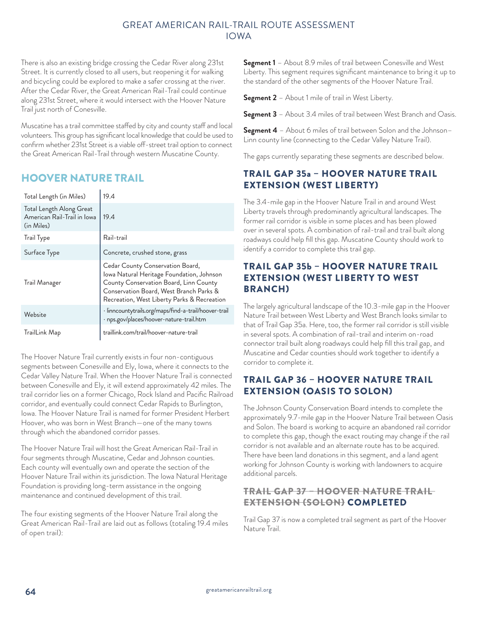There is also an existing bridge crossing the Cedar River along 231st Street. It is currently closed to all users, but reopening it for walking and bicycling could be explored to make a safer crossing at the river. After the Cedar River, the Great American Rail-Trail could continue along 231st Street, where it would intersect with the Hoover Nature Trail just north of Conesville.

Muscatine has a trail committee staffed by city and county staff and local volunteers. This group has significant local knowledge that could be used to confirm whether 231st Street is a viable off-street trail option to connect the Great American Rail-Trail through western Muscatine County.

## HOOVER NATURE TRAIL

| Total Length (in Miles)                                               | 19.4                                                                                                                                                                                                              |
|-----------------------------------------------------------------------|-------------------------------------------------------------------------------------------------------------------------------------------------------------------------------------------------------------------|
| Total Length Along Great<br>American Rail-Trail in Iowa<br>(in Miles) | 19.4                                                                                                                                                                                                              |
| <b>Trail Type</b>                                                     | Rail-trail                                                                                                                                                                                                        |
| Surface Type                                                          | Concrete, crushed stone, grass                                                                                                                                                                                    |
| Trail Manager                                                         | Cedar County Conservation Board,<br>Iowa Natural Heritage Foundation, Johnson<br>County Conservation Board, Linn County<br>Conservation Board, West Branch Parks &<br>Recreation, West Liberty Parks & Recreation |
| Website                                                               | · linncountytrails.org/maps/find-a-trail/hoover-trail<br>· nps.gov/places/hoover-nature-trail.htm                                                                                                                 |
| TrailLink Map                                                         | traillink.com/trail/hoover-nature-trail                                                                                                                                                                           |

The Hoover Nature Trail currently exists in four non-contiguous segments between Conesville and Ely, Iowa, where it connects to the Cedar Valley Nature Trail. When the Hoover Nature Trail is connected between Conesville and Ely, it will extend approximately 42 miles. The trail corridor lies on a former Chicago, Rock Island and Pacific Railroad corridor, and eventually could connect Cedar Rapids to Burlington, Iowa. The Hoover Nature Trail is named for former President Herbert Hoover, who was born in West Branch—one of the many towns through which the abandoned corridor passes.

The Hoover Nature Trail will host the Great American Rail-Trail in four segments through Muscatine, Cedar and Johnson counties. Each county will eventually own and operate the section of the Hoover Nature Trail within its jurisdiction. The Iowa Natural Heritage Foundation is providing long-term assistance in the ongoing maintenance and continued development of this trail.

The four existing segments of the Hoover Nature Trail along the Great American Rail-Trail are laid out as follows (totaling 19.4 miles of open trail):

**Segment 1** – About 8.9 miles of trail between Conesville and West Liberty. This segment requires significant maintenance to bring it up to the standard of the other segments of the Hoover Nature Trail.

**Segment 2** – About 1 mile of trail in West Liberty.

**Segment 3** – About 3.4 miles of trail between West Branch and Oasis.

**Segment 4** – About 6 miles of trail between Solon and the Johnson– Linn county line (connecting to the Cedar Valley Nature Trail).

The gaps currently separating these segments are described below.

## TRAIL GAP 35a – HOOVER NATURE TRAIL EXTENSION (WEST LIBERTY)

The 3.4-mile gap in the Hoover Nature Trail in and around West Liberty travels through predominantly agricultural landscapes. The former rail corridor is visible in some places and has been plowed over in several spots. A combination of rail-trail and trail built along roadways could help fill this gap. Muscatine County should work to identify a corridor to complete this trail gap.

#### TRAIL GAP 35b – HOOVER NATURE TRAIL EXTENSION (WEST LIBERTY TO WEST BRANCH)

The largely agricultural landscape of the 10.3-mile gap in the Hoover Nature Trail between West Liberty and West Branch looks similar to that of Trail Gap 35a. Here, too, the former rail corridor is still visible in several spots. A combination of rail-trail and interim on-road connector trail built along roadways could help fill this trail gap, and Muscatine and Cedar counties should work together to identify a corridor to complete it.

## TRAIL GAP 36 – HOOVER NATURE TRAIL EXTENSION (OASIS TO SOLON)

The Johnson County Conservation Board intends to complete the approximately 9.7-mile gap in the Hoover Nature Trail between Oasis and Solon. The board is working to acquire an abandoned rail corridor to complete this gap, though the exact routing may change if the rail corridor is not available and an alternate route has to be acquired. There have been land donations in this segment, and a land agent working for Johnson County is working with landowners to acquire additional parcels.

## TRAIL GAP 37 – HOOVER NATURE TRAIL EXTENSION (SOLON) COMPLETED

Trail Gap 37 is now a completed trail segment as part of the Hoover Nature Trail.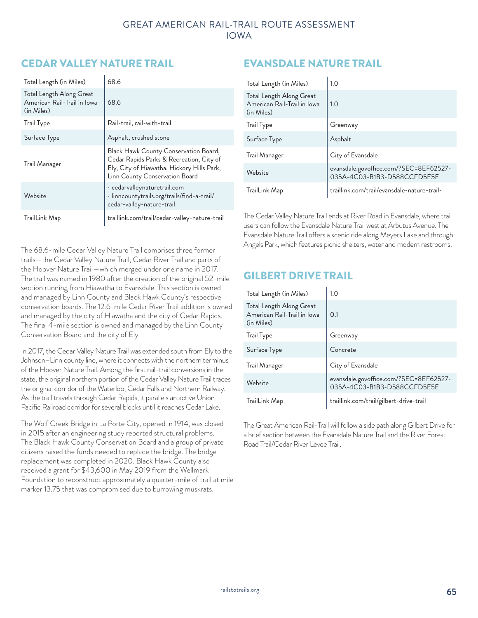# CEDAR VALLEY NATURE TRAIL

| Total Length (in Miles)                                               | 68.6                                                                                                                                                              |
|-----------------------------------------------------------------------|-------------------------------------------------------------------------------------------------------------------------------------------------------------------|
| Total Length Along Great<br>American Rail-Trail in Iowa<br>(in Miles) | 68.6                                                                                                                                                              |
| Trail Type                                                            | Rail-trail, rail-with-trail                                                                                                                                       |
| Surface Type                                                          | Asphalt, crushed stone                                                                                                                                            |
| Trail Manager                                                         | Black Hawk County Conservation Board,<br>Cedar Rapids Parks & Recreation, City of<br>Ely, City of Hiawatha, Hickory Hills Park,<br>Linn County Conservation Board |
| Website                                                               | · cedarvalleynaturetrail.com<br>· linncountytrails.org/trails/find-a-trail/<br>cedar-valley-nature-trail                                                          |
| TrailLink Map                                                         | traillink.com/trail/cedar-valley-nature-trail                                                                                                                     |

The 68.6-mile Cedar Valley Nature Trail comprises three former trails—the Cedar Valley Nature Trail, Cedar River Trail and parts of the Hoover Nature Trail—which merged under one name in 2017. The trail was named in 1980 after the creation of the original 52-mile section running from Hiawatha to Evansdale. This section is owned and managed by Linn County and Black Hawk County's respective conservation boards. The 12.6-mile Cedar River Trail addition is owned and managed by the city of Hiawatha and the city of Cedar Rapids. The final 4-mile section is owned and managed by the Linn County Conservation Board and the city of Ely.

In 2017, the Cedar Valley Nature Trail was extended south from Ely to the Johnson–Linn county line, where it connects with the northern terminus of the Hoover Nature Trail. Among the first rail-trail conversions in the state, the original northern portion of the Cedar Valley Nature Trail traces the original corridor of the Waterloo, Cedar Falls and Northern Railway. As the trail travels through Cedar Rapids, it parallels an active Union Pacific Railroad corridor for several blocks until it reaches Cedar Lake.

The Wolf Creek Bridge in La Porte City, opened in 1914, was closed in 2015 after an engineering study reported structural problems. The Black Hawk County Conservation Board and a group of private citizens raised the funds needed to replace the bridge. The bridge replacement was completed in 2020. Black Hawk County also received a grant for \$43,600 in May 2019 from the Wellmark Foundation to reconstruct approximately a quarter-mile of trail at mile marker 13.75 that was compromised due to burrowing muskrats.

# EVANSDALE NATURE TRAIL

| Total Length (in Miles)                                               | 1.0                                                                   |
|-----------------------------------------------------------------------|-----------------------------------------------------------------------|
| Total Length Along Great<br>American Rail-Trail in Iowa<br>(in Miles) | 1.0                                                                   |
| <b>Trail Type</b>                                                     | Greenway                                                              |
| Surface Type                                                          | Asphalt                                                               |
| Trail Manager                                                         | City of Evansdale                                                     |
| Website                                                               | evansdale.govoffice.com/?SEC=8EF62527-<br>035A-4C03-B1B3-D588CCFD5E5E |
| TrailLink Map                                                         | traillink.com/trail/evansdale-nature-trail-                           |

The Cedar Valley Nature Trail ends at River Road in Evansdale, where trail users can follow the Evansdale Nature Trail west at Arbutus Avenue. The Evansdale Nature Trail offers a scenic ride along Meyers Lake and through Angels Park, which features picnic shelters, water and modern restrooms.

# GILBERT DRIVE TRAIL

| Total Length (in Miles)                                               | 1.0                                                                   |
|-----------------------------------------------------------------------|-----------------------------------------------------------------------|
| Total Length Along Great<br>American Rail-Trail in Iowa<br>(in Miles) | 0.1                                                                   |
| <b>Trail Type</b>                                                     | Greenway                                                              |
| Surface Type                                                          | Concrete                                                              |
| Trail Manager                                                         | City of Evansdale                                                     |
| Website                                                               | evansdale.govoffice.com/?SEC=8EF62527-<br>035A-4C03-B1B3-D588CCFD5E5E |
| TrailLink Map                                                         | traillink.com/trail/gilbert-drive-trail                               |

The Great American Rail-Trail will follow a side path along Gilbert Drive for a brief section between the Evansdale Nature Trail and the River Forest Road Trail/Cedar River Levee Trail.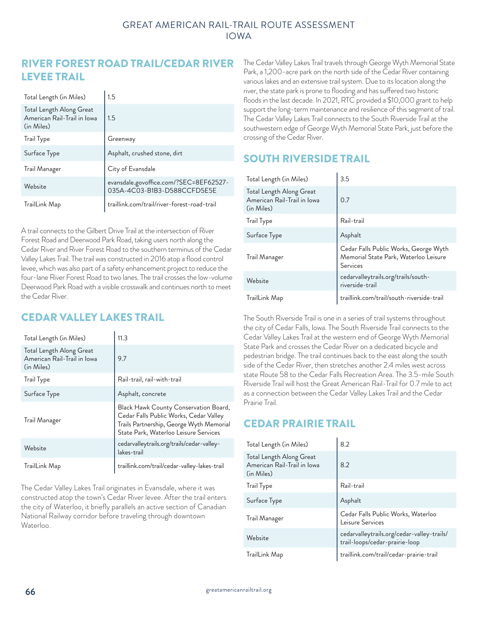## RIVER FOREST ROAD TRAIL/CEDAR RIVER LEVEE TRAIL

| Total Length (in Miles)                                               | 1.5                                                                   |
|-----------------------------------------------------------------------|-----------------------------------------------------------------------|
| Total Length Along Great<br>American Rail-Trail in Iowa<br>(in Miles) | 1.5                                                                   |
| Trail Type                                                            | Greenway                                                              |
| Surface Type                                                          | Asphalt, crushed stone, dirt                                          |
| Trail Manager                                                         | City of Evansdale                                                     |
| Website                                                               | evansdale.govoffice.com/?SEC=8EF62527-<br>035A-4C03-B1B3-D588CCFD5E5E |
| TrailLink Map                                                         | traillink.com/trail/river-forest-road-trail                           |

A trail connects to the Gilbert Drive Trail at the intersection of River Forest Road and Deerwood Park Road, taking users north along the Cedar River and River Forest Road to the southern terminus of the Cedar Valley Lakes Trail. The trail was constructed in 2016 atop a flood control levee, which was also part of a safety enhancement project to reduce the four-lane River Forest Road to two lanes. The trail crosses the low-volume Deerwood Park Road with a visible crosswalk and continues north to meet the Cedar River.

# CEDAR VALLEY LAKES TRAIL

| Total Length (in Miles)                                               | 11.3                                                                                                                                                                 |
|-----------------------------------------------------------------------|----------------------------------------------------------------------------------------------------------------------------------------------------------------------|
| Total Length Along Great<br>American Rail-Trail in Iowa<br>(in Miles) | 9.7                                                                                                                                                                  |
| Irail lype                                                            | Rail-trail, rail-with-trail                                                                                                                                          |
| Surface Type                                                          | Asphalt, concrete                                                                                                                                                    |
| Trail Manager                                                         | Black Hawk County Conservation Board,<br>Cedar Falls Public Works, Cedar Valley<br>Trails Partnership, George Wyth Memorial<br>State Park, Waterloo Leisure Services |
| Website                                                               | cedarvalleytrails.org/trails/cedar-valley-<br>lakes-trail                                                                                                            |
| TrailLink Map                                                         | traillink.com/trail/cedar-valley-lakes-trail                                                                                                                         |

The Cedar Valley Lakes Trail originates in Evansdale, where it was constructed atop the town's Cedar River levee. After the trail enters the city of Waterloo, it briefly parallels an active section of Canadian National Railway corridor before traveling through downtown Waterloo.

The Cedar Valley Lakes Trail travels through George Wyth Memorial State Park, a 1,200-acre park on the north side of the Cedar River containing various lakes and an extensive trail system. Due to its location along the river, the state park is prone to flooding and has suffered two historic floods in the last decade. In 2021, RTC provided a \$10,000 grant to help support the long-term maintenance and resilience of this segment of trail. The Cedar Valley Lakes Trail connects to the South Riverside Trail at the southwestern edge of George Wyth Memorial State Park, just before the crossing of the Cedar River.

# SOUTH RIVERSIDE TRAIL

| Total Length (in Miles)                                               | 3.5                                                                                        |
|-----------------------------------------------------------------------|--------------------------------------------------------------------------------------------|
| Total Length Along Great<br>American Rail-Trail in Iowa<br>(in Miles) | 0.7                                                                                        |
| Trail Type                                                            | Rail-trail                                                                                 |
| Surface Type                                                          | Asphalt                                                                                    |
| Trail Manager                                                         | Cedar Falls Public Works, George Wyth<br>Memorial State Park, Waterloo Leisure<br>Services |
| Website                                                               | cedarvalleytrails.org/trails/south-<br>riverside-trail                                     |
| TrailLink Map                                                         | traillink.com/trail/south-riverside-trail                                                  |

The South Riverside Trail is one in a series of trail systems throughout the city of Cedar Falls, Iowa. The South Riverside Trail connects to the Cedar Valley Lakes Trail at the western end of George Wyth Memorial State Park and crosses the Cedar River on a dedicated bicycle and pedestrian bridge. The trail continues back to the east along the south side of the Cedar River, then stretches another 2.4 miles west across state Route 58 to the Cedar Falls Recreation Area. The 3.5-mile South Riverside Trail will host the Great American Rail-Trail for 0.7 mile to act as a connection between the Cedar Valley Lakes Trail and the Cedar Prairie Trail.

# CEDAR PRAIRIE TRAIL

| Total Length (in Miles)                                               | 8.2                                                                          |
|-----------------------------------------------------------------------|------------------------------------------------------------------------------|
| Total Length Along Great<br>American Rail-Trail in Iowa<br>(in Miles) | 8.2                                                                          |
| Trail Type                                                            | Rail-trail                                                                   |
| Surface Type                                                          | Asphalt                                                                      |
| Trail Manager                                                         | Cedar Falls Public Works, Waterloo<br>Leisure Services                       |
| Website                                                               | cedarvalleytrails.org/cedar-valley-trails/<br>trail-loops/cedar-prairie-loop |
| TrailLink Map                                                         | traillink.com/trail/cedar-prairie-trail                                      |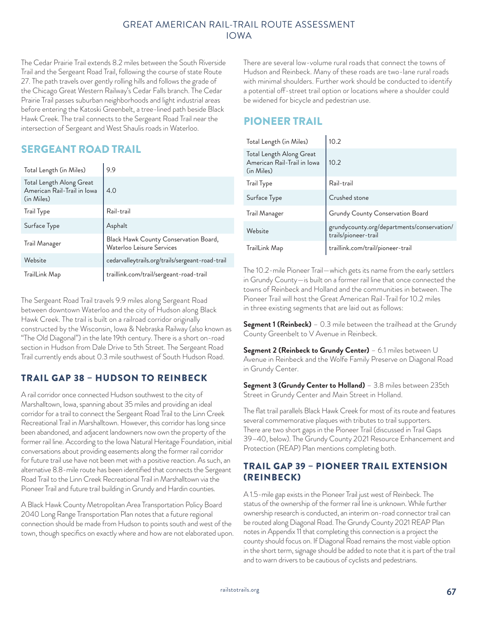The Cedar Prairie Trail extends 8.2 miles between the South Riverside Trail and the Sergeant Road Trail, following the course of state Route 27. The path travels over gently rolling hills and follows the grade of the Chicago Great Western Railway's Cedar Falls branch. The Cedar Prairie Trail passes suburban neighborhoods and light industrial areas before entering the Katoski Greenbelt, a tree-lined path beside Black Hawk Creek. The trail connects to the Sergeant Road Trail near the intersection of Sergeant and West Shaulis roads in Waterloo.

# SERGEANT ROAD TRAIL

| Total Length (in Miles)                                               | 9.9                                                                |
|-----------------------------------------------------------------------|--------------------------------------------------------------------|
| Total Length Along Great<br>American Rail-Trail in Iowa<br>(in Miles) | 4.0                                                                |
| <b>Trail Type</b>                                                     | Rail-trail                                                         |
| Surface Type                                                          | Asphalt                                                            |
| Trail Manager                                                         | Black Hawk County Conservation Board,<br>Waterloo Leisure Services |
| Website                                                               | cedarvalleytrails.org/trails/sergeant-road-trail                   |
| TrailLink Map                                                         | traillink.com/trail/sergeant-road-trail                            |

The Sergeant Road Trail travels 9.9 miles along Sergeant Road between downtown Waterloo and the city of Hudson along Black Hawk Creek. The trail is built on a railroad corridor originally constructed by the Wisconsin, Iowa & Nebraska Railway (also known as "The Old Diagonal") in the late 19th century. There is a short on-road section in Hudson from Dale Drive to 5th Street. The Sergeant Road Trail currently ends about 0.3 mile southwest of South Hudson Road.

## TRAIL GAP 38 – HUDSON TO REINBECK

A rail corridor once connected Hudson southwest to the city of Marshalltown, Iowa, spanning about 35 miles and providing an ideal corridor for a trail to connect the Sergeant Road Trail to the Linn Creek Recreational Trail in Marshalltown. However, this corridor has long since been abandoned, and adjacent landowners now own the property of the former rail line. According to the Iowa Natural Heritage Foundation, initial conversations about providing easements along the former rail corridor for future trail use have not been met with a positive reaction. As such, an alternative 8.8-mile route has been identified that connects the Sergeant Road Trail to the Linn Creek Recreational Trail in Marshalltown via the Pioneer Trail and future trail building in Grundy and Hardin counties.

A Black Hawk County Metropolitan Area Transportation Policy Board 2040 Long Range Transportation Plan notes that a future regional connection should be made from Hudson to points south and west of the town, though specifics on exactly where and how are not elaborated upon. There are several low-volume rural roads that connect the towns of Hudson and Reinbeck. Many of these roads are two-lane rural roads with minimal shoulders. Further work should be conducted to identify a potential off-street trail option or locations where a shoulder could be widened for bicycle and pedestrian use.

# PIONEER TRAIL

| Total Length (in Miles)                                               | 10.2                                                               |
|-----------------------------------------------------------------------|--------------------------------------------------------------------|
| Total Length Along Great<br>American Rail-Trail in Iowa<br>(in Miles) | 10.2                                                               |
| Trail Type                                                            | Rail-trail                                                         |
| Surface Type                                                          | Crushed stone                                                      |
| Trail Manager                                                         | Grundy County Conservation Board                                   |
| Website                                                               | grundycounty.org/departments/conservation/<br>trails/pioneer-trail |
| TrailLink Map                                                         | traillink.com/trail/pioneer-trail                                  |

The 10.2-mile Pioneer Trail—which gets its name from the early settlers in Grundy County—is built on a former rail line that once connected the towns of Reinbeck and Holland and the communities in between. The Pioneer Trail will host the Great American Rail-Trail for 10.2 miles in three existing segments that are laid out as follows:

**Segment 1 (Reinbeck)** – 0.3 mile between the trailhead at the Grundy County Greenbelt to V Avenue in Reinbeck.

**Segment 2 (Reinbeck to Grundy Center)** – 6.1 miles between U Avenue in Reinbeck and the Wolfe Family Preserve on Diagonal Road in Grundy Center.

**Segment 3 (Grundy Center to Holland)** – 3.8 miles between 235th Street in Grundy Center and Main Street in Holland.

The flat trail parallels Black Hawk Creek for most of its route and features several commemorative plaques with tributes to trail supporters. There are two short gaps in the Pioneer Trail (discussed in Trail Gaps 39–40, below). The Grundy County 2021 Resource Enhancement and Protection (REAP) Plan mentions completing both.

## TRAIL GAP 39 – PIONEER TRAIL EXTENSION (REINBECK)

A 1.5-mile gap exists in the Pioneer Trail just west of Reinbeck. The status of the ownership of the former rail line is unknown. While further ownership research is conducted, an interim on-road connector trail can be routed along Diagonal Road. The Grundy County 2021 REAP Plan notes in Appendix 11 that completing this connection is a project the county should focus on. If Diagonal Road remains the most viable option in the short term, signage should be added to note that it is part of the trail and to warn drivers to be cautious of cyclists and pedestrians.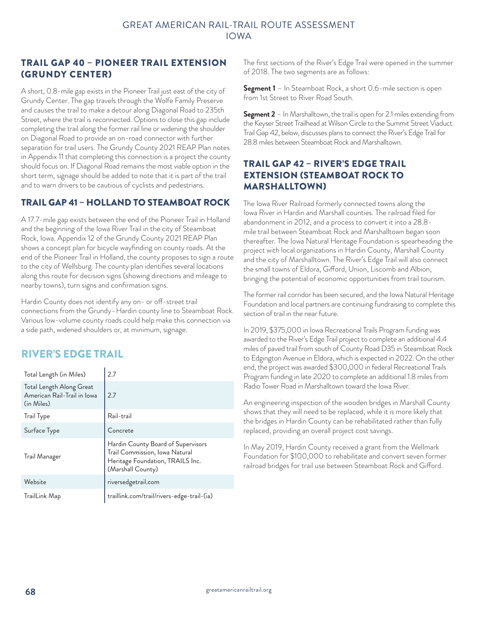#### TRAIL GAP 40 – PIONEER TRAIL EXTENSION (GRUNDY CENTER)

A short, 0.8-mile gap exists in the Pioneer Trail just east of the city of Grundy Center. The gap travels through the Wolfe Family Preserve and causes the trail to make a detour along Diagonal Road to 235th Street, where the trail is reconnected. Options to close this gap include completing the trail along the former rail line or widening the shoulder on Diagonal Road to provide an on-road connector with further separation for trail users. The Grundy County 2021 REAP Plan notes in Appendix 11 that completing this connection is a project the county should focus on. If Diagonal Road remains the most viable option in the short term, signage should be added to note that it is part of the trail and to warn drivers to be cautious of cyclists and pedestrians.

## TRAIL GAP 41 – HOLLAND TO STEAMBOAT ROCK

A 17.7-mile gap exists between the end of the Pioneer Trail in Holland and the beginning of the Iowa River Trail in the city of Steamboat Rock, Iowa. Appendix 12 of the Grundy County 2021 REAP Plan shows a concept plan for bicycle wayfinding on county roads. At the end of the Pioneer Trail in Holland, the county proposes to sign a route to the city of Wellsburg. The county plan identifies several locations along this route for decision signs (showing directions and mileage to nearby towns), turn signs and confirmation signs.

Hardin County does not identify any on- or off-street trail connections from the Grundy–Hardin county line to Steamboat Rock. Various low-volume county roads could help make this connection via a side path, widened shoulders or, at minimum, signage.

## RIVER'S EDGE TRAIL

| Total Length (in Miles)                                               | 2.7                                                                                                                           |
|-----------------------------------------------------------------------|-------------------------------------------------------------------------------------------------------------------------------|
| Total Length Along Great<br>American Rail-Trail in Iowa<br>(in Miles) | 2.7                                                                                                                           |
| Irail lype                                                            | Rail-trail                                                                                                                    |
| Surface Type                                                          | Concrete                                                                                                                      |
| Trail Manager                                                         | Hardin County Board of Supervisors<br>Trail Commission, Iowa Natural<br>Heritage Foundation, TRAILS Inc.<br>(Marshall County) |
| Website                                                               | riversedgetrail.com                                                                                                           |
| TrailLink Map                                                         | traillink.com/trail/rivers-edge-trail-(ia)                                                                                    |

The first sections of the River's Edge Trail were opened in the summer of 2018. The two segments are as follows:

**Segment 1** – In Steamboat Rock, a short 0.6-mile section is open from 1st Street to River Road South.

**Segment 2** – In Marshalltown, the trail is open for 2.1 miles extending from the Keyser Street Trailhead at Wilson Circle to the Summit Street Viaduct. Trail Gap 42, below, discusses plans to connect the River's Edge Trail for 28.8 miles between Steamboat Rock and Marshalltown.

## TRAIL GAP 42 – RIVER'S EDGE TRAIL EXTENSION (STEAMBOAT ROCK TO MARSHALLTOWN)

The Iowa River Railroad formerly connected towns along the Iowa River in Hardin and Marshall counties. The railroad filed for abandonment in 2012, and a process to convert it into a 28.8 mile trail between Steamboat Rock and Marshalltown began soon thereafter. The Iowa Natural Heritage Foundation is spearheading the project with local organizations in Hardin County, Marshall County and the city of Marshalltown. The River's Edge Trail will also connect the small towns of Eldora, Gifford, Union, Liscomb and Albion, bringing the potential of economic opportunities from trail tourism.

The former rail corridor has been secured, and the Iowa Natural Heritage Foundation and local partners are continuing fundraising to complete this section of trail in the near future.

In 2019, \$375,000 in Iowa Recreational Trails Program funding was awarded to the River's Edge Trail project to complete an additional 4.4 miles of paved trail from south of County Road D35 in Steamboat Rock to Edgington Avenue in Eldora, which is expected in 2022. On the other end, the project was awarded \$300,000 in federal Recreational Trails Program funding in late 2020 to complete an additional 1.8 miles from Radio Tower Road in Marshalltown toward the Iowa River.

An engineering inspection of the wooden bridges in Marshall County shows that they will need to be replaced, while it is more likely that the bridges in Hardin County can be rehabilitated rather than fully replaced, providing an overall project cost savings.

In May 2019, Hardin County received a grant from the Wellmark Foundation for \$100,000 to rehabilitate and convert seven former railroad bridges for trail use between Steamboat Rock and Gifford.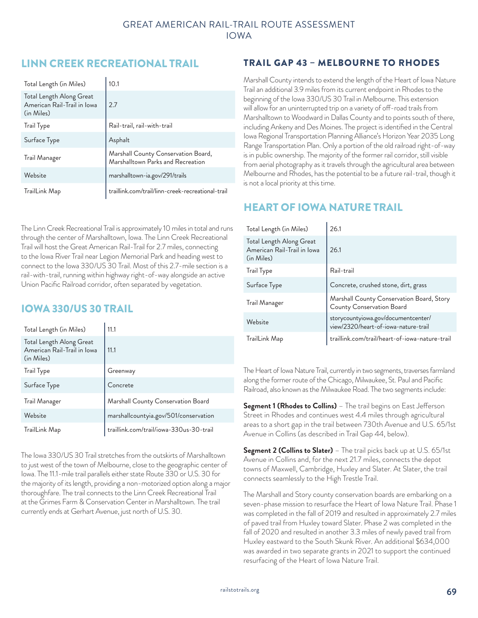## LINN CREEK RECREATIONAL TRAIL

| Total Length (in Miles)                                               | 10.1                                                                     |
|-----------------------------------------------------------------------|--------------------------------------------------------------------------|
| Total Length Along Great<br>American Rail-Trail in Iowa<br>(in Miles) | 2.7                                                                      |
| Irail lype                                                            | Rail-trail, rail-with-trail                                              |
| Surface Type                                                          | Asphalt                                                                  |
| Trail Manager                                                         | Marshall County Conservation Board,<br>Marshalltown Parks and Recreation |
| Website                                                               | marshalltown-ia.gov/291/trails                                           |
| TrailLink Map                                                         | traillink.com/trail/linn-creek-recreational-trail                        |

The Linn Creek Recreational Trail is approximately 10 miles in total and runs through the center of Marshalltown, Iowa. The Linn Creek Recreational Trail will host the Great American Rail-Trail for 2.7 miles, connecting to the Iowa River Trail near Legion Memorial Park and heading west to connect to the Iowa 330/US 30 Trail. Most of this 2.7-mile section is a rail-with-trail, running within highway right-of-way alongside an active Union Pacific Railroad corridor, often separated by vegetation.

## IOWA 330/US 30 TRAIL

| Total Length (in Miles)                                               | 11.1                                    |
|-----------------------------------------------------------------------|-----------------------------------------|
| Total Length Along Great<br>American Rail-Trail in Iowa<br>(in Miles) | 11.1                                    |
| <b>Trail Type</b>                                                     | Greenway                                |
| Surface Type                                                          | Concrete                                |
| Trail Manager                                                         | Marshall County Conservation Board      |
| Website                                                               | marshallcountyia.gov/501/conservation   |
| TrailLink Map                                                         | traillink.com/trail/iowa-330us-30-trail |

The Iowa 330/US 30 Trail stretches from the outskirts of Marshalltown to just west of the town of Melbourne, close to the geographic center of Iowa. The 11.1-mile trail parallels either state Route 330 or U.S. 30 for the majority of its length, providing a non-motorized option along a major thoroughfare. The trail connects to the Linn Creek Recreational Trail at the Grimes Farm & Conservation Center in Marshalltown. The trail currently ends at Gerhart Avenue, just north of U.S. 30.

#### TRAIL GAP 43 – MELBOURNE TO RHODES

Marshall County intends to extend the length of the Heart of Iowa Nature Trail an additional 3.9 miles from its current endpoint in Rhodes to the beginning of the Iowa 330/US 30 Trail in Melbourne. This extension will allow for an uninterrupted trip on a variety of off-road trails from Marshalltown to Woodward in Dallas County and to points south of there, including Ankeny and Des Moines. The project is identified in the Central Iowa Regional Transportation Planning Alliance's Horizon Year 2035 Long Range Transportation Plan. Only a portion of the old railroad right-of-way is in public ownership. The majority of the former rail corridor, still visible from aerial photography as it travels through the agricultural area between Melbourne and Rhodes, has the potential to be a future rail-trail, though it is not a local priority at this time.

## HEART OF IOWA NATURE TRAIL

| Total Length (in Miles)                                               | 26.1                                                                        |
|-----------------------------------------------------------------------|-----------------------------------------------------------------------------|
| Total Length Along Great<br>American Rail-Trail in Iowa<br>(in Miles) | 26.1                                                                        |
| <b>Trail Type</b>                                                     | Rail-trail                                                                  |
| Surface Type                                                          | Concrete, crushed stone, dirt, grass                                        |
| Trail Manager                                                         | Marshall County Conservation Board, Story<br>County Conservation Board      |
| Website                                                               | storycountyiowa.gov/documentcenter/<br>view/2320/heart-of-iowa-nature-trail |
| TrailLink Map                                                         | traillink.com/trail/heart-of-iowa-nature-trail                              |

The Heart of Iowa Nature Trail, currently in two segments, traverses farmland along the former route of the Chicago, Milwaukee, St. Paul and Pacific Railroad, also known as the Milwaukee Road. The two segments include:

**Segment 1 (Rhodes to Collins)** – The trail begins on East Jefferson Street in Rhodes and continues west 4.4 miles through agricultural areas to a short gap in the trail between 730th Avenue and U.S. 65/1st Avenue in Collins (as described in Trail Gap 44, below).

**Segment 2 (Collins to Slater)** – The trail picks back up at U.S. 65/1st Avenue in Collins and, for the next 21.7 miles, connects the depot towns of Maxwell, Cambridge, Huxley and Slater. At Slater, the trail connects seamlessly to the High Trestle Trail.

The Marshall and Story county conservation boards are embarking on a seven-phase mission to resurface the Heart of Iowa Nature Trail. Phase 1 was completed in the fall of 2019 and resulted in approximately 2.7 miles of paved trail from Huxley toward Slater. Phase 2 was completed in the fall of 2020 and resulted in another 3.3 miles of newly paved trail from Huxley eastward to the South Skunk River. An additional \$634,000 was awarded in two separate grants in 2021 to support the continued resurfacing of the Heart of Iowa Nature Trail.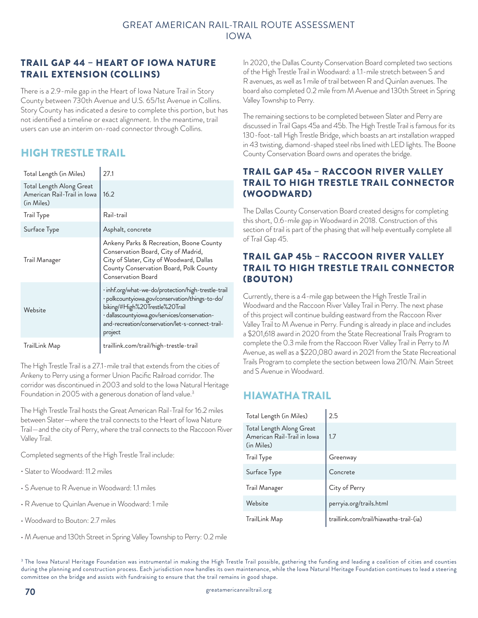#### TRAIL GAP 44 – HEART OF IOWA NATURE TRAIL EXTENSION (COLLINS)

There is a 2.9-mile gap in the Heart of Iowa Nature Trail in Story County between 730th Avenue and U.S. 65/1st Avenue in Collins. Story County has indicated a desire to complete this portion, but has not identified a timeline or exact alignment. In the meantime, trail users can use an interim on-road connector through Collins.

# HIGH TRESTLE TRAIL

| Total Length (in Miles)                                               | 27.1                                                                                                                                                                                                                                                     |
|-----------------------------------------------------------------------|----------------------------------------------------------------------------------------------------------------------------------------------------------------------------------------------------------------------------------------------------------|
| Total Length Along Great<br>American Rail-Trail in Iowa<br>(in Miles) | 16.2                                                                                                                                                                                                                                                     |
| <b>Trail Type</b>                                                     | Rail-trail                                                                                                                                                                                                                                               |
| Surface Type                                                          | Asphalt, concrete                                                                                                                                                                                                                                        |
| Trail Manager                                                         | Ankeny Parks & Recreation, Boone County<br>Conservation Board, City of Madrid,<br>City of Slater, City of Woodward, Dallas<br>County Conservation Board, Polk County<br>Conservation Board                                                               |
| Website                                                               | · inhf.org/what-we-do/protection/high-trestle-trail<br>· polkcountyiowa.gov/conservation/things-to-do/<br>biking/#High%20Trestle%20Trail<br>· dallascountyiowa.gov/services/conservation-<br>and-recreation/conservation/let-s-connect-trail-<br>project |
| TrailLink Map                                                         | traillink.com/trail/high-trestle-trail                                                                                                                                                                                                                   |

The High Trestle Trail is a 27.1-mile trail that extends from the cities of Ankeny to Perry using a former Union Pacific Railroad corridor. The corridor was discontinued in 2003 and sold to the Iowa Natural Heritage Foundation in 2005 with a generous donation of land value.<sup>3</sup>

The High Trestle Trail hosts the Great American Rail-Trail for 16.2 miles between Slater—where the trail connects to the Heart of Iowa Nature Trail—and the city of Perry, where the trail connects to the Raccoon River Valley Trail.

Completed segments of the High Trestle Trail include:

- Slater to Woodward: 11.2 miles
- S Avenue to R Avenue in Woodward: 1.1 miles
- R Avenue to Quinlan Avenue in Woodward: 1 mile
- Woodward to Bouton: 2.7 miles
- M Avenue and 130th Street in Spring Valley Township to Perry: 0.2 mile

In 2020, the Dallas County Conservation Board completed two sections of the High Trestle Trail in Woodward: a 1.1-mile stretch between S and R avenues, as well as 1 mile of trail between R and Quinlan avenues. The board also completed 0.2 mile from M Avenue and 130th Street in Spring Valley Township to Perry.

The remaining sections to be completed between Slater and Perry are discussed in Trail Gaps 45a and 45b. The High Trestle Trail is famous for its 130-foot-tall High Trestle Bridge, which boasts an art installation wrapped in 43 twisting, diamond-shaped steel ribs lined with LED lights. The Boone County Conservation Board owns and operates the bridge.

#### TRAIL GAP 45a – RACCOON RIVER VALLEY TRAIL TO HIGH TRESTLE TRAIL CONNECTOR (WOODWARD)

The Dallas County Conservation Board created designs for completing this short, 0.6-mile gap in Woodward in 2018. Construction of this section of trail is part of the phasing that will help eventually complete all of Trail Gap 45.

#### TRAIL GAP 45b – RACCOON RIVER VALLEY TRAIL TO HIGH TRESTLE TRAIL CONNECTOR (BOUTON)

Currently, there is a 4-mile gap between the High Trestle Trail in Woodward and the Raccoon River Valley Trail in Perry. The next phase of this project will continue building eastward from the Raccoon River Valley Trail to M Avenue in Perry. Funding is already in place and includes a \$201,618 award in 2020 from the State Recreational Trails Program to complete the 0.3 mile from the Raccoon River Valley Trail in Perry to M Avenue, as well as a \$220,080 award in 2021 from the State Recreational Trails Program to complete the section between Iowa 210/N. Main Street and S Avenue in Woodward.

# HIAWATHA TRAIL

| Total Length (in Miles)                                               | 2.5                                     |
|-----------------------------------------------------------------------|-----------------------------------------|
| Total Length Along Great<br>American Rail-Trail in Iowa<br>(in Miles) | 1.7                                     |
| Trail Type                                                            | Greenway                                |
| Surface Type                                                          | Concrete                                |
| Trail Manager                                                         | City of Perry                           |
| Website                                                               | perryia.org/trails.html                 |
| TrailLink Map                                                         | traillink.com/trail/hiawatha-trail-(ia) |

<sup>3</sup> The Iowa Natural Heritage Foundation was instrumental in making the High Trestle Trail possible, gathering the funding and leading a coalition of cities and counties during the planning and construction process. Each jurisdiction now handles its own maintenance, while the Iowa Natural Heritage Foundation continues to lead a steering committee on the bridge and assists with fundraising to ensure that the trail remains in good shape.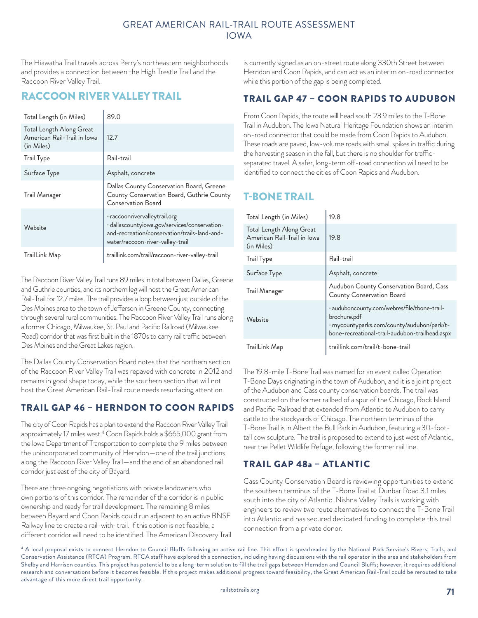The Hiawatha Trail travels across Perry's northeastern neighborhoods and provides a connection between the High Trestle Trail and the Raccoon River Valley Trail.

## RACCOON RIVER VALLEY TRAIL

| Total Length (in Miles)                                               | 89.0                                                                                                                                                               |
|-----------------------------------------------------------------------|--------------------------------------------------------------------------------------------------------------------------------------------------------------------|
| Total Length Along Great<br>American Rail-Trail in Iowa<br>(in Miles) | 12.7                                                                                                                                                               |
| Trail Type                                                            | Rail-trail                                                                                                                                                         |
| Surface Type                                                          | Asphalt, concrete                                                                                                                                                  |
| Trail Manager                                                         | Dallas County Conservation Board, Greene<br>County Conservation Board, Guthrie County<br><b>Conservation Board</b>                                                 |
| Website                                                               | · raccoonrivervalleytrail.org<br>· dallascountyiowa.gov/services/conservation-<br>and-recreation/conservation/trails-land-and-<br>water/raccoon-river-valley-trail |
| TrailLink Map                                                         | traillink.com/trail/raccoon-river-valley-trail                                                                                                                     |

The Raccoon River Valley Trail runs 89 miles in total between Dallas, Greene and Guthrie counties, and its northern leg will host the Great American Rail-Trail for 12.7 miles. The trail provides a loop between just outside of the Des Moines area to the town of Jefferson in Greene County, connecting through several rural communities. The Raccoon River Valley Trail runs along a former Chicago, Milwaukee, St. Paul and Pacific Railroad (Milwaukee Road) corridor that was first built in the 1870s to carry rail traffic between Des Moines and the Great Lakes region.

The Dallas County Conservation Board notes that the northern section of the Raccoon River Valley Trail was repaved with concrete in 2012 and remains in good shape today, while the southern section that will not host the Great American Rail-Trail route needs resurfacing attention.

## TRAIL GAP 46 – HERNDON TO COON RAPIDS

The city of Coon Rapids has a plan to extend the Raccoon River Valley Trail approximately 17 miles west.4 Coon Rapids holds a \$665,000 grant from the Iowa Department of Transportation to complete the 9 miles between the unincorporated community of Herndon—one of the trail junctions along the Raccoon River Valley Trail—and the end of an abandoned rail corridor just east of the city of Bayard.

There are three ongoing negotiations with private landowners who own portions of this corridor. The remainder of the corridor is in public ownership and ready for trail development. The remaining 8 miles between Bayard and Coon Rapids could run adjacent to an active BNSF Railway line to create a rail-with-trail. If this option is not feasible, a different corridor will need to be identified. The American Discovery Trail is currently signed as an on-street route along 330th Street between Herndon and Coon Rapids, and can act as an interim on-road connector while this portion of the gap is being completed.

## TRAIL GAP 47 – COON RAPIDS TO AUDUBON

From Coon Rapids, the route will head south 23.9 miles to the T-Bone Trail in Audubon. The Iowa Natural Heritage Foundation shows an interim on-road connector that could be made from Coon Rapids to Audubon. These roads are paved, low-volume roads with small spikes in traffic during the harvesting season in the fall, but there is no shoulder for trafficseparated travel. A safer, long-term off-road connection will need to be identified to connect the cities of Coon Rapids and Audubon.

# T-BONE TRAIL

| Total Length (in Miles)                                               | 19.8                                                                                                                                                         |
|-----------------------------------------------------------------------|--------------------------------------------------------------------------------------------------------------------------------------------------------------|
| Total Length Along Great<br>American Rail-Trail in Iowa<br>(in Miles) | 19.8                                                                                                                                                         |
| Trail Type                                                            | Rail-trail                                                                                                                                                   |
| Surface Type                                                          | Asphalt, concrete                                                                                                                                            |
| Trail Manager                                                         | Audubon County Conservation Board, Cass<br>County Conservation Board                                                                                         |
| Website                                                               | · auduboncounty.com/webres/file/tbone-trail-<br>brochure.pdf<br>· mycountyparks.com/county/audubon/park/t-<br>bone-recreational-trail-audubon-trailhead.aspx |
| TrailLink Map                                                         | traillink.com/trail/t-bone-trail                                                                                                                             |

The 19.8-mile T-Bone Trail was named for an event called Operation T-Bone Days originating in the town of Audubon, and it is a joint project of the Audubon and Cass county conservation boards. The trail was constructed on the former railbed of a spur of the Chicago, Rock Island and Pacific Railroad that extended from Atlantic to Audubon to carry cattle to the stockyards of Chicago. The northern terminus of the T-Bone Trail is in Albert the Bull Park in Audubon, featuring a 30-foottall cow sculpture. The trail is proposed to extend to just west of Atlantic, near the Pellet Wildlife Refuge, following the former rail line.

## TRAIL GAP 48a – ATLANTIC

Cass County Conservation Board is reviewing opportunities to extend the southern terminus of the T-Bone Trail at Dunbar Road 3.1 miles south into the city of Atlantic. Nishna Valley Trails is working with engineers to review two route alternatives to connect the T-Bone Trail into Atlantic and has secured dedicated funding to complete this trail connection from a private donor.

4 A local proposal exists to connect Herndon to Council Bluffs following an active rail line. This effort is spearheaded by the National Park Service's Rivers, Trails, and Conservation Assistance (RTCA) Program. RTCA staff have explored this connection, including having discussions with the rail operator in the area and stakeholders from Shelby and Harrison counties. This project has potential to be a long-term solution to fill the trail gaps between Herndon and Council Bluffs; however, it requires additional research and conversations before it becomes feasible. If this project makes additional progress toward feasibility, the Great American Rail-Trail could be rerouted to take advantage of this more direct trail opportunity.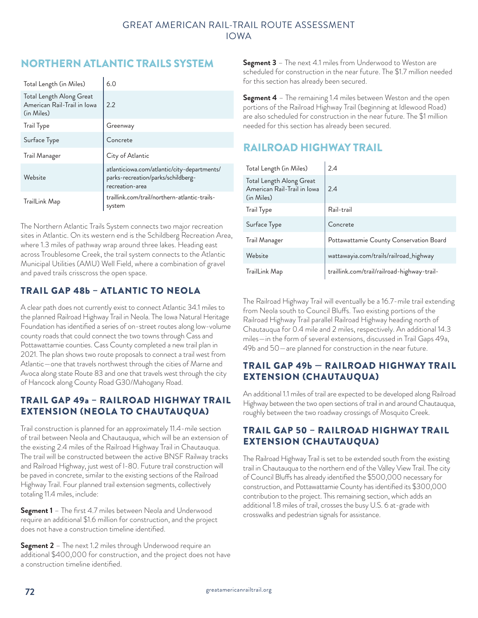# NORTHERN ATLANTIC TRAILS SYSTEM

| Total Length (in Miles)                                               | 6.0                                                                                                  |
|-----------------------------------------------------------------------|------------------------------------------------------------------------------------------------------|
| Total Length Along Great<br>American Rail-Trail in Iowa<br>(in Miles) | 2.2                                                                                                  |
| <b>Trail Type</b>                                                     | Greenway                                                                                             |
| Surface Type                                                          | Concrete                                                                                             |
| Trail Manager                                                         | City of Atlantic                                                                                     |
| Website                                                               | atlanticiowa.com/atlantic/city-departments/<br>parks-recreation/parks/schildberg-<br>recreation-area |
| TrailLink Map                                                         | traillink.com/trail/northern-atlantic-trails-<br>system                                              |

The Northern Atlantic Trails System connects two major recreation sites in Atlantic. On its western end is the Schildberg Recreation Area, where 1.3 miles of pathway wrap around three lakes. Heading east across Troublesome Creek, the trail system connects to the Atlantic Municipal Utilities (AMU) Well Field, where a combination of gravel and paved trails crisscross the open space.

## TRAIL GAP 48b – ATLANTIC TO NEOLA

A clear path does not currently exist to connect Atlantic 34.1 miles to the planned Railroad Highway Trail in Neola. The Iowa Natural Heritage Foundation has identified a series of on-street routes along low-volume county roads that could connect the two towns through Cass and Pottawattamie counties. Cass County completed a new trail plan in 2021. The plan shows two route proposals to connect a trail west from Atlantic—one that travels northwest through the cities of Marne and Avoca along state Route 83 and one that travels west through the city of Hancock along County Road G30/Mahogany Road.

## TRAIL GAP 49a – RAILROAD HIGHWAY TRAIL EXTENSION (NEOLA TO CHAUTAUQUA)

Trail construction is planned for an approximately 11.4-mile section of trail between Neola and Chautauqua, which will be an extension of the existing 2.4 miles of the Railroad Highway Trail in Chautauqua. The trail will be constructed between the active BNSF Railway tracks and Railroad Highway, just west of I-80. Future trail construction will be paved in concrete, similar to the existing sections of the Railroad Highway Trail. Four planned trail extension segments, collectively totaling 11.4 miles, include:

**Segment 1** – The first 4.7 miles between Neola and Underwood require an additional \$1.6 million for construction, and the project does not have a construction timeline identified.

**Segment 2** – The next 1.2 miles through Underwood require an additional \$400,000 for construction, and the project does not have a construction timeline identified.

**Segment 3** – The next 4.1 miles from Underwood to Weston are scheduled for construction in the near future. The \$1.7 million needed for this section has already been secured.

**Segment 4** – The remaining 1.4 miles between Weston and the open portions of the Railroad Highway Trail (beginning at Idlewood Road) are also scheduled for construction in the near future. The \$1 million needed for this section has already been secured.

# RAILROAD HIGHWAY TRAIL

| Total Length (in Miles)                                               | 2.4                                         |
|-----------------------------------------------------------------------|---------------------------------------------|
| Total Length Along Great<br>American Rail-Trail in Iowa<br>(in Miles) | 2.4                                         |
| <b>Trail Type</b>                                                     | Rail-trail                                  |
| Surface Type                                                          | Concrete                                    |
| Trail Manager                                                         | Pottawattamie County Conservation Board     |
| Website                                                               | wattawayia.com/trails/railroad_highway      |
| TrailLink Map                                                         | traillink.com/trail/railroad-highway-trail- |

The Railroad Highway Trail will eventually be a 16.7-mile trail extending from Neola south to Council Bluffs. Two existing portions of the Railroad Highway Trail parallel Railroad Highway heading north of Chautauqua for 0.4 mile and 2 miles, respectively. An additional 14.3 miles—in the form of several extensions, discussed in Trail Gaps 49a, 49b and 50—are planned for construction in the near future.

## TRAIL GAP 49b — RAILROAD HIGHWAY TRAIL EXTENSION (CHAUTAUQUA)

An additional 1.1 miles of trail are expected to be developed along Railroad Highway between the two open sections of trail in and around Chautauqua, roughly between the two roadway crossings of Mosquito Creek.

## TRAIL GAP 50 – RAILROAD HIGHWAY TRAIL EXTENSION (CHAUTAUQUA)

The Railroad Highway Trail is set to be extended south from the existing trail in Chautauqua to the northern end of the Valley View Trail. The city of Council Bluffs has already identified the \$500,000 necessary for construction, and Pottawattamie County has identified its \$300,000 contribution to the project. This remaining section, which adds an additional 1.8 miles of trail, crosses the busy U.S. 6 at-grade with crosswalks and pedestrian signals for assistance.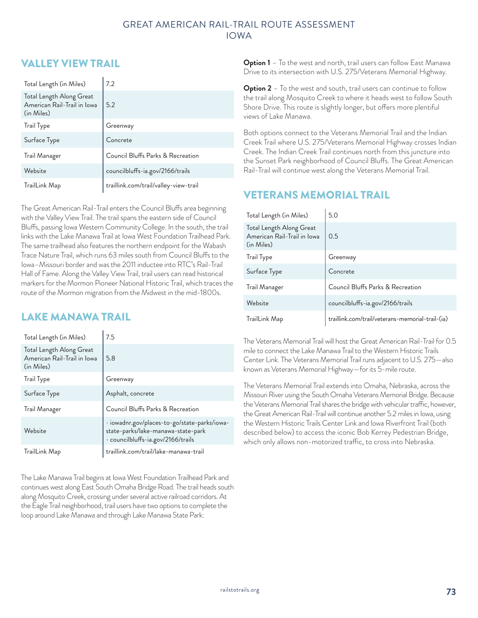## VALLEY VIEW TRAIL

| Total Length (in Miles)                                               | 7.2                                   |
|-----------------------------------------------------------------------|---------------------------------------|
| Total Length Along Great<br>American Rail-Trail in Iowa<br>(in Miles) | 5.2                                   |
| <b>Trail Type</b>                                                     | Greenway                              |
| Surface Type                                                          | Concrete                              |
| Trail Manager                                                         | Council Bluffs Parks & Recreation     |
| Website                                                               | councilbluffs-ia.gov/2166/trails      |
| TrailLink Map                                                         | traillink.com/trail/valley-view-trail |

The Great American Rail-Trail enters the Council Bluffs area beginning with the Valley View Trail. The trail spans the eastern side of Council Bluffs, passing Iowa Western Community College. In the south, the trail links with the Lake Manawa Trail at Iowa West Foundation Trailhead Park. The same trailhead also features the northern endpoint for the Wabash Trace Nature Trail, which runs 63 miles south from Council Bluffs to the Iowa–Missouri border and was the 2011 inductee into RTC's Rail-Trail Hall of Fame. Along the Valley View Trail, trail users can read historical markers for the Mormon Pioneer National Historic Trail, which traces the route of the Mormon migration from the Midwest in the mid-1800s.

# LAKE MANAWA TRAIL

| Total Length (in Miles)                                               | 7.5                                                                                                                            |
|-----------------------------------------------------------------------|--------------------------------------------------------------------------------------------------------------------------------|
| Total Length Along Great<br>American Rail-Trail in Iowa<br>(in Miles) | 5.8                                                                                                                            |
| Trail Type                                                            | Greenway                                                                                                                       |
| Surface Type                                                          | Asphalt, concrete                                                                                                              |
| Trail Manager                                                         | Council Bluffs Parks & Recreation                                                                                              |
| Website                                                               | $\cdot$ iowadnr.gov/places-to-go/state-parks/iowa-<br>state-parks/lake-manawa-state-park<br>· councilbluffs-ia.gov/2166/trails |
| TrailLink Map                                                         | traillink.com/trail/lake-manawa-trail                                                                                          |

The Lake Manawa Trail begins at Iowa West Foundation Trailhead Park and continues west along East South Omaha Bridge Road. The trail heads south along Mosquito Creek, crossing under several active railroad corridors. At the Eagle Trail neighborhood, trail users have two options to complete the loop around Lake Manawa and through Lake Manawa State Park:

**Option 1** – To the west and north, trail users can follow East Manawa Drive to its intersection with U.S. 275/Veterans Memorial Highway.

**Option 2** – To the west and south, trail users can continue to follow the trail along Mosquito Creek to where it heads west to follow South Shore Drive. This route is slightly longer, but offers more plentiful views of Lake Manawa.

Both options connect to the Veterans Memorial Trail and the Indian Creek Trail where U.S. 275/Veterans Memorial Highway crosses Indian Creek. The Indian Creek Trail continues north from this juncture into the Sunset Park neighborhood of Council Bluffs. The Great American Rail-Trail will continue west along the Veterans Memorial Trail.

## VETERANS MEMORIAL TRAIL

| Total Length (in Miles)                                               | 5.0                                              |
|-----------------------------------------------------------------------|--------------------------------------------------|
| Total Length Along Great<br>American Rail-Trail in Iowa<br>(in Miles) | 0.5                                              |
| <b>Trail Type</b>                                                     | Greenway                                         |
| Surface Type                                                          | Concrete                                         |
| Trail Manager                                                         | Council Bluffs Parks & Recreation                |
| Website                                                               | councilbluffs-ia.gov/2166/trails                 |
| TrailLink Map                                                         | traillink.com/trail/veterans-memorial-trail-(ia) |

The Veterans Memorial Trail will host the Great American Rail-Trail for 0.5 mile to connect the Lake Manawa Trail to the Western Historic Trails Center Link. The Veterans Memorial Trail runs adjacent to U.S. 275—also known as Veterans Memorial Highway—for its 5-mile route.

The Veterans Memorial Trail extends into Omaha, Nebraska, across the Missouri River using the South Omaha Veterans Memorial Bridge. Because the Veterans Memorial Trail shares the bridge with vehicular traffic, however, the Great American Rail-Trail will continue another 5.2 miles in Iowa, using the Western Historic Trails Center Link and Iowa Riverfront Trail (both described below) to access the iconic Bob Kerrey Pedestrian Bridge, which only allows non-motorized traffic, to cross into Nebraska.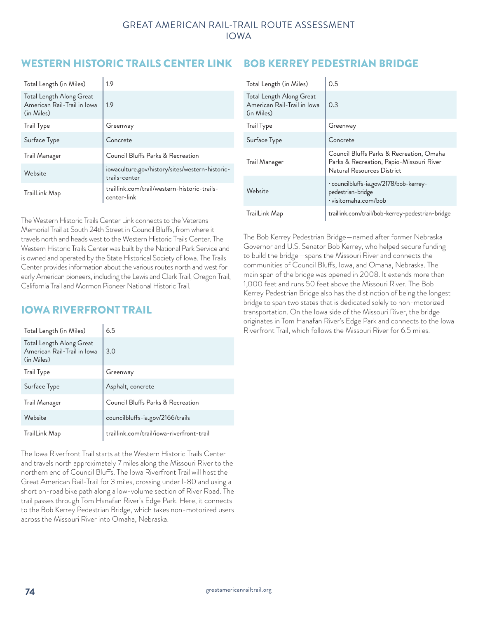## WESTERN HISTORIC TRAILS CENTER LINK

| Total Length (in Miles)                                               | 1.9                                                              |
|-----------------------------------------------------------------------|------------------------------------------------------------------|
| Total Length Along Great<br>American Rail-Trail in Iowa<br>(in Miles) | 1.9                                                              |
| <b>Trail Type</b>                                                     | Greenway                                                         |
| Surface Type                                                          | Concrete                                                         |
| Trail Manager                                                         | Council Bluffs Parks & Recreation                                |
| Website                                                               | iowaculture.gov/history/sites/western-historic-<br>trails-center |
| TrailLink Map                                                         | traillink.com/trail/western-historic-trails-<br>center-link      |

The Western Historic Trails Center Link connects to the Veterans Memorial Trail at South 24th Street in Council Bluffs, from where it travels north and heads west to the Western Historic Trails Center. The Western Historic Trails Center was built by the National Park Service and is owned and operated by the State Historical Society of Iowa. The Trails Center provides information about the various routes north and west for early American pioneers, including the Lewis and Clark Trail, Oregon Trail, California Trail and Mormon Pioneer National Historic Trail.

## IOWA RIVERFRONT TRAIL

| Total Length (in Miles)                                               | 6.5                                       |
|-----------------------------------------------------------------------|-------------------------------------------|
| Total Length Along Great<br>American Rail-Trail in Iowa<br>(in Miles) | 3.0                                       |
| <b>Trail Type</b>                                                     | Greenway                                  |
| Surface Type                                                          | Asphalt, concrete                         |
| Trail Manager                                                         | Council Bluffs Parks & Recreation         |
| Website                                                               | councilbluffs-ia.gov/2166/trails          |
| TrailLink Map                                                         | traillink.com/trail/iowa-riverfront-trail |

The Iowa Riverfront Trail starts at the Western Historic Trails Center and travels north approximately 7 miles along the Missouri River to the northern end of Council Bluffs. The Iowa Riverfront Trail will host the Great American Rail-Trail for 3 miles, crossing under I-80 and using a short on-road bike path along a low-volume section of River Road. The trail passes through Tom Hanafan River's Edge Park. Here, it connects to the Bob Kerrey Pedestrian Bridge, which takes non-motorized users across the Missouri River into Omaha, Nebraska.

## BOB KERREY PEDESTRIAN BRIDGE

| Total Length (in Miles)                                               | 0.5                                                                                                                |
|-----------------------------------------------------------------------|--------------------------------------------------------------------------------------------------------------------|
| Total Length Along Great<br>American Rail-Trail in Iowa<br>(in Miles) | 0.3                                                                                                                |
| <b>Trail Type</b>                                                     | Greenway                                                                                                           |
| Surface Type                                                          | Concrete                                                                                                           |
| Trail Manager                                                         | Council Bluffs Parks & Recreation, Omaha<br>Parks & Recreation, Papio-Missouri River<br>Natural Resources District |
| Website                                                               | · councilbluffs-ia.gov/2178/bob-kerrey-<br>pedestrian-bridge<br>· visitomaha.com/bob                               |
| TrailLink Map                                                         | traillink.com/trail/bob-kerrey-pedestrian-bridge                                                                   |

The Bob Kerrey Pedestrian Bridge—named after former Nebraska Governor and U.S. Senator Bob Kerrey, who helped secure funding to build the bridge—spans the Missouri River and connects the communities of Council Bluffs, Iowa, and Omaha, Nebraska. The main span of the bridge was opened in 2008. It extends more than 1,000 feet and runs 50 feet above the Missouri River. The Bob Kerrey Pedestrian Bridge also has the distinction of being the longest bridge to span two states that is dedicated solely to non-motorized transportation. On the Iowa side of the Missouri River, the bridge originates in Tom Hanafan River's Edge Park and connects to the Iowa Riverfront Trail, which follows the Missouri River for 6.5 miles.